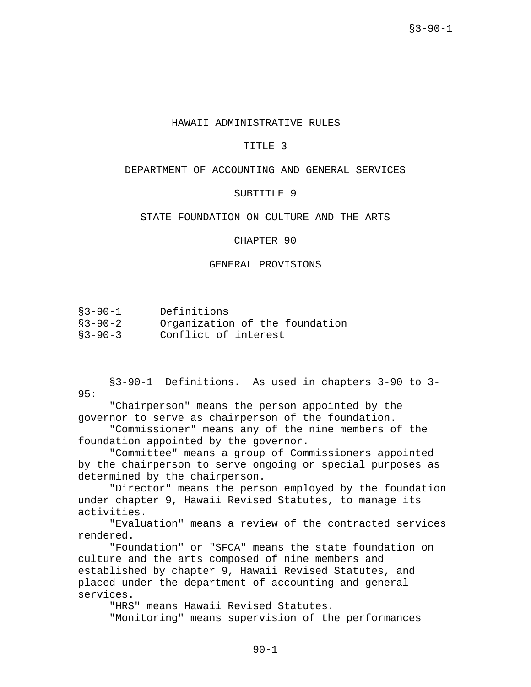#### HAWAII ADMINISTRATIVE RULES

#### TITLE 3

## DEPARTMENT OF ACCOUNTING AND GENERAL SERVICES

## SUBTITLE 9

# STATE FOUNDATION ON CULTURE AND THE ARTS

CHAPTER 90

# GENERAL PROVISIONS

- §3-90-1 Definitions
- §3-90-2 Organization of the foundation
- §3-90-3 Conflict of interest

§3-90-1 Definitions. As used in chapters 3-90 to 3- 95:

"Chairperson" means the person appointed by the governor to serve as chairperson of the foundation.

"Commissioner" means any of the nine members of the foundation appointed by the governor.

"Committee" means a group of Commissioners appointed by the chairperson to serve ongoing or special purposes as determined by the chairperson.

"Director" means the person employed by the foundation under chapter 9, Hawaii Revised Statutes, to manage its activities.

"Evaluation" means a review of the contracted services rendered.

"Foundation" or "SFCA" means the state foundation on culture and the arts composed of nine members and established by chapter 9, Hawaii Revised Statutes, and placed under the department of accounting and general services.

"HRS" means Hawaii Revised Statutes.

"Monitoring" means supervision of the performances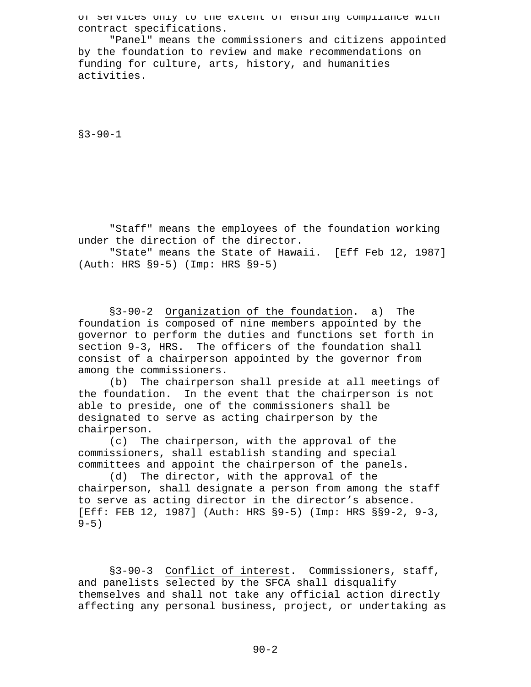of services only to the extent of ensuring compliance with contract specifications.

"Panel" means the commissioners and citizens appointed by the foundation to review and make recommendations on funding for culture, arts, history, and humanities activities.

 $$3-90-1$ 

"Staff" means the employees of the foundation working under the direction of the director. "State" means the State of Hawaii. [Eff Feb 12, 1987] (Auth: HRS §9-5) (Imp: HRS §9-5)

§3-90-2 Organization of the foundation. a) The foundation is composed of nine members appointed by the governor to perform the duties and functions set forth in section 9-3, HRS. The officers of the foundation shall consist of a chairperson appointed by the governor from among the commissioners.

(b) The chairperson shall preside at all meetings of the foundation. In the event that the chairperson is not able to preside, one of the commissioners shall be designated to serve as acting chairperson by the chairperson.

(c) The chairperson, with the approval of the commissioners, shall establish standing and special committees and appoint the chairperson of the panels.

(d) The director, with the approval of the chairperson, shall designate a person from among the staff to serve as acting director in the director's absence. [Eff: FEB 12, 1987] (Auth: HRS §9-5) (Imp: HRS §§9-2, 9-3,  $9 - 5)$ 

§3-90-3 Conflict of interest. Commissioners, staff, and panelists selected by the SFCA shall disqualify themselves and shall not take any official action directly affecting any personal business, project, or undertaking as